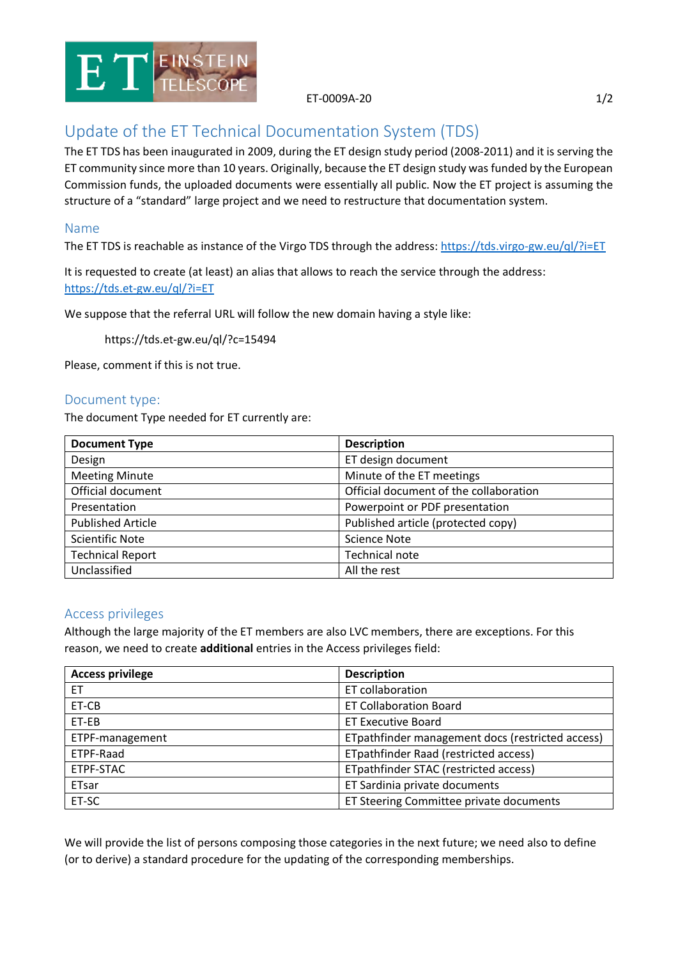

ET-0009A-20 1/2

# Update of the ET Technical Documentation System (TDS)

The ET TDS has been inaugurated in 2009, during the ET design study period (2008-2011) and it is serving the ET community since more than 10 years. Originally, because the ET design study was funded by the European Commission funds, the uploaded documents were essentially all public. Now the ET project is assuming the structure of a "standard" large project and we need to restructure that documentation system.

### Name

The ET TDS is reachable as instance of the Virgo TDS through the address:<https://tds.virgo-gw.eu/ql/?i=ET>

It is requested to create (at least) an alias that allows to reach the service through the address: <https://tds.et-gw.eu/ql/?i=ET>

We suppose that the referral URL will follow the new domain having a style like:

https://tds.et-gw.eu/ql/?c=15494

Please, comment if this is not true.

#### Document type:

The document Type needed for ET currently are:

| <b>Document Type</b>     | <b>Description</b>                     |
|--------------------------|----------------------------------------|
| Design                   | ET design document                     |
| <b>Meeting Minute</b>    | Minute of the ET meetings              |
| Official document        | Official document of the collaboration |
| Presentation             | Powerpoint or PDF presentation         |
| <b>Published Article</b> | Published article (protected copy)     |
| <b>Scientific Note</b>   | <b>Science Note</b>                    |
| <b>Technical Report</b>  | Technical note                         |
| Unclassified             | All the rest                           |

#### Access privileges

Although the large majority of the ET members are also LVC members, there are exceptions. For this reason, we need to create **additional** entries in the Access privileges field:

| <b>Access privilege</b> | <b>Description</b>                               |
|-------------------------|--------------------------------------------------|
| ET.                     | ET collaboration                                 |
| ET-CB                   | <b>ET Collaboration Board</b>                    |
| ET-EB                   | <b>ET Executive Board</b>                        |
| ETPF-management         | ETpathfinder management docs (restricted access) |
| ETPF-Raad               | ETpathfinder Raad (restricted access)            |
| ETPF-STAC               | ETpathfinder STAC (restricted access)            |
| ETsar                   | ET Sardinia private documents                    |
| ET-SC                   | ET Steering Committee private documents          |

We will provide the list of persons composing those categories in the next future; we need also to define (or to derive) a standard procedure for the updating of the corresponding memberships.